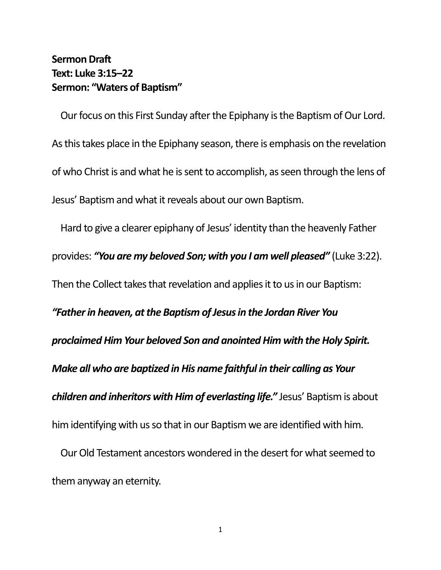## **Sermon Draft Text: Luke 3:15–22 Sermon: "Waters of Baptism"**

Our focus on this First Sunday after the Epiphany is the Baptism of Our Lord. As this takes place in the Epiphany season, there is emphasis on the revelation of who Christ is and what he is sent to accomplish, as seen through the lens of Jesus' Baptism and what it reveals about our own Baptism.

Hard to give a clearer epiphany of Jesus' identity than the heavenly Father provides: *"You are my beloved Son; with you I am well pleased"* (Luke 3:22). Then the Collect takes that revelation and applies it to us in our Baptism: *"Father in heaven, at the Baptism of Jesus in the Jordan River You proclaimed Him Your beloved Son and anointed Him with the Holy Spirit. Make all who are baptized in His name faithful in their calling as Your children and inheritors with Him of everlasting life."* Jesus' Baptism is about him identifying with us so that in our Baptism we are identified with him.

Our Old Testament ancestors wondered in the desert for what seemed to them anyway an eternity.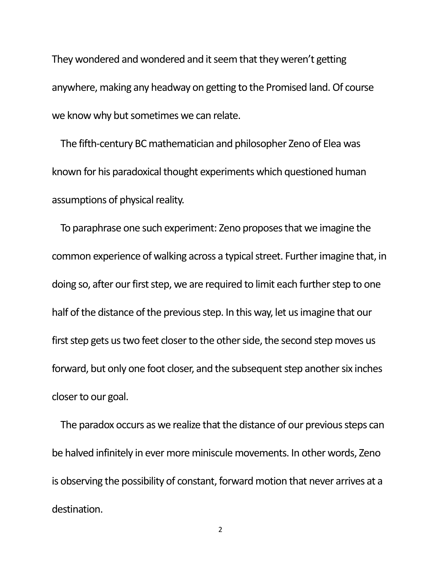They wondered and wondered and it seem that they weren't getting anywhere, making any headway on getting to the Promised land. Of course we know why but sometimes we can relate.

The fifth-century BC mathematician and philosopher Zeno of Elea was known for his paradoxical thought experiments which questioned human assumptions of physical reality.

To paraphrase one such experiment: Zeno proposes that we imagine the common experience of walking across a typical street. Further imagine that, in doing so, after our first step, we are required to limit each further step to one half of the distance of the previous step. In this way, let us imagine that our first step gets us two feet closer to the other side, the second step moves us forward, but only one foot closer, and the subsequent step another six inches closer to our goal.

The paradox occurs as we realize that the distance of our previous steps can be halved infinitely in ever more miniscule movements. In other words, Zeno is observing the possibility of constant, forward motion that never arrives at a destination.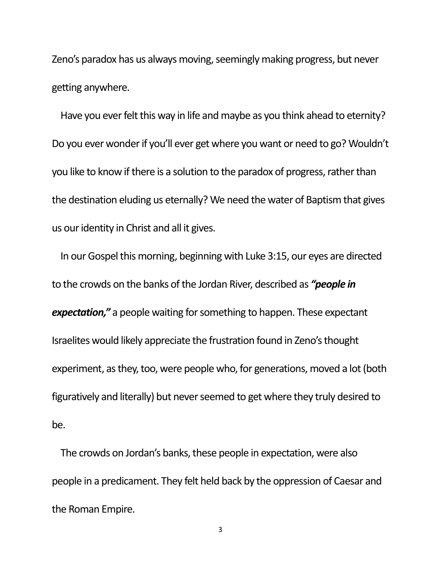Zeno's paradox has us always moving, seemingly making progress, but never getting anywhere.

Have you ever felt this way in life and maybe as you think ahead to eternity? Do you ever wonder if you'll ever get where you want or need to go? Wouldn't you like to know if there is a solution to the paradox of progress, rather than the destination eluding us eternally? We need the water of Baptism that gives us our identity in Christ and all it gives.

In our Gospel this morning, beginning with Luke 3:15, our eyes are directed to the crowds on the banks of the Jordan River, described as *"people in expectation,"* a people waiting for something to happen. These expectant Israelites would likely appreciate the frustration found in Zeno's thought experiment, as they, too, were people who, for generations, moved a lot (both figuratively and literally) but never seemed to get where they truly desired to be.

The crowds on Jordan's banks, these people in expectation, were also people in a predicament. They felt held back by the oppression of Caesar and the Roman Empire.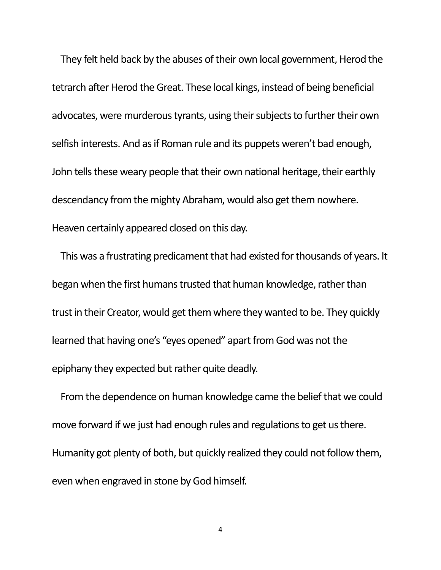They felt held back by the abuses of their own local government, Herod the tetrarch after Herod the Great. These local kings, instead of being beneficial advocates, were murderous tyrants, using their subjects to further their own selfish interests. And as if Roman rule and its puppets weren't bad enough, John tells these weary people that their own national heritage, their earthly descendancy from the mighty Abraham, would also get them nowhere. Heaven certainly appeared closed on this day.

This was a frustrating predicament that had existed for thousands of years. It began when the first humans trusted that human knowledge, rather than trust in their Creator, would get them where they wanted to be. They quickly learned that having one's "eyes opened" apart from God was not the epiphany they expected but rather quite deadly.

From the dependence on human knowledge came the belief that we could move forward if we just had enough rules and regulations to get us there. Humanity got plenty of both, but quickly realized they could not follow them, even when engraved in stone by God himself.

4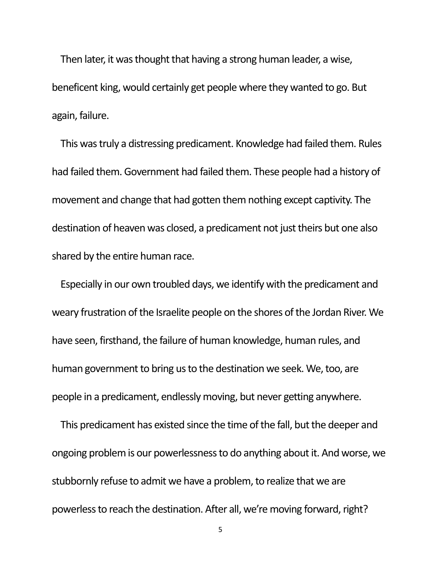Then later, it was thought that having a strong human leader, a wise, beneficent king, would certainly get people where they wanted to go. But again, failure.

This was truly a distressing predicament. Knowledge had failed them. Rules had failed them. Government had failed them. These people had a history of movement and change that had gotten them nothing except captivity. The destination of heaven was closed, a predicament not just theirs but one also shared by the entire human race.

Especially in our own troubled days, we identify with the predicament and weary frustration of the Israelite people on the shores of the Jordan River. We have seen, firsthand, the failure of human knowledge, human rules, and human government to bring us to the destination we seek. We, too, are people in a predicament, endlessly moving, but never getting anywhere.

This predicament has existed since the time of the fall, but the deeper and ongoing problem is our powerlessness to do anything about it. And worse, we stubbornly refuse to admit we have a problem, to realize that we are powerless to reach the destination. After all, we're moving forward, right?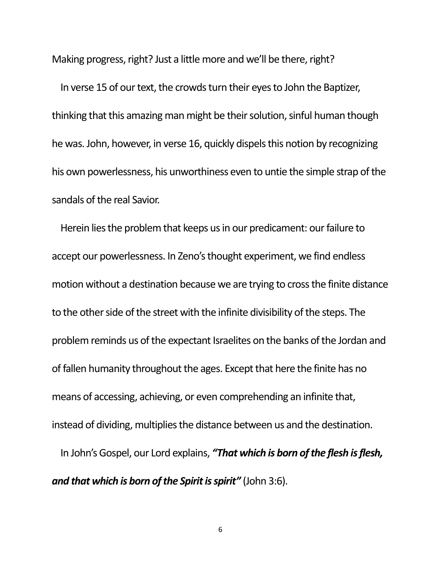Making progress, right? Just a little more and we'll be there, right?

In verse 15 of our text, the crowds turn their eyes to John the Baptizer, thinking that this amazing man might be their solution, sinful human though he was. John, however, in verse 16, quickly dispels this notion by recognizing his own powerlessness, his unworthiness even to untie the simple strap of the sandals of the real Savior.

Herein lies the problem that keeps us in our predicament: our failure to accept our powerlessness. In Zeno's thought experiment, we find endless motion without a destination because we are trying to cross the finite distance to the other side of the street with the infinite divisibility of the steps. The problem reminds us of the expectant Israelites on the banks of the Jordan and of fallen humanity throughout the ages. Except that here the finite has no means of accessing, achieving, or even comprehending an infinite that, instead of dividing, multiplies the distance between us and the destination.

In John's Gospel, our Lord explains, *"That which is born of the flesh is flesh, and that which is born of the Spirit is spirit"* (John 3:6).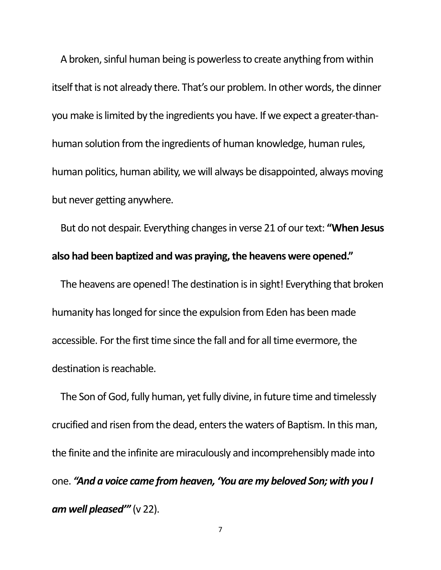A broken, sinful human being is powerless to create anything from within itself that is not already there. That's our problem. In other words, the dinner you make is limited by the ingredients you have. If we expect a greater-thanhuman solution from the ingredients of human knowledge, human rules, human politics, human ability, we will always be disappointed, always moving but never getting anywhere.

But do not despair. Everything changes in verse 21 of our text: **"When Jesus also had been baptized and was praying, the heavens were opened."**

The heavens are opened! The destination is in sight! Everything that broken humanity has longed for since the expulsion from Eden has been made accessible. For the first time since the fall and for all time evermore, the destination is reachable.

The Son of God, fully human, yet fully divine, in future time and timelessly crucified and risen from the dead, enters the waters of Baptism. In this man, the finite and the infinite are miraculously and incomprehensibly made into one. *"And a voice came from heaven, 'You are my beloved Son; with you I am well pleased'"* (v 22).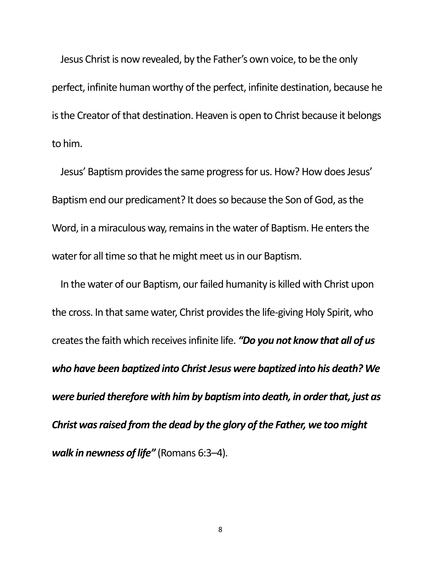Jesus Christ is now revealed, by the Father's own voice, to be the only perfect, infinite human worthy of the perfect, infinite destination, because he is the Creator of that destination. Heaven is open to Christ because it belongs to him.

Jesus' Baptism provides the same progress for us. How? How does Jesus' Baptism end our predicament? It does so because the Son of God, as the Word, in a miraculous way, remains in the water of Baptism. He enters the water for all time so that he might meet us in our Baptism.

In the water of our Baptism, our failed humanity is killed with Christ upon the cross. In that same water, Christ provides the life-giving Holy Spirit, who creates the faith which receives infinite life. *"Do you not know that all of us who have been baptized into Christ Jesus were baptized into his death? We were buried therefore with him by baptism into death, in order that, just as Christ was raised from the dead by the glory of the Father, we too might walk in newness of life"* (Romans 6:3–4).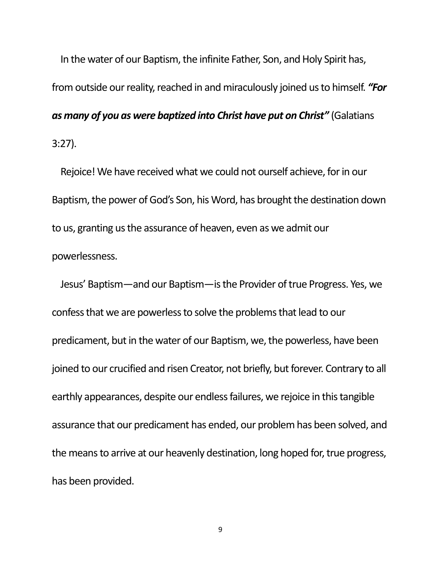In the water of our Baptism, the infinite Father, Son, and Holy Spirit has, from outside our reality, reached in and miraculously joined us to himself. *"For as many of you as were baptized into Christ have put on Christ"* (Galatians 3:27).

Rejoice! We have received what we could not ourself achieve, for in our Baptism, the power of God's Son, his Word, has brought the destination down to us, granting us the assurance of heaven, even as we admit our powerlessness.

Jesus' Baptism—and our Baptism—is the Provider of true Progress. Yes, we confess that we are powerless to solve the problems that lead to our predicament, but in the water of our Baptism, we, the powerless, have been joined to our crucified and risen Creator, not briefly, but forever. Contrary to all earthly appearances, despite our endless failures, we rejoice in this tangible assurance that our predicament has ended, our problem has been solved, and the means to arrive at our heavenly destination, long hoped for, true progress, has been provided.